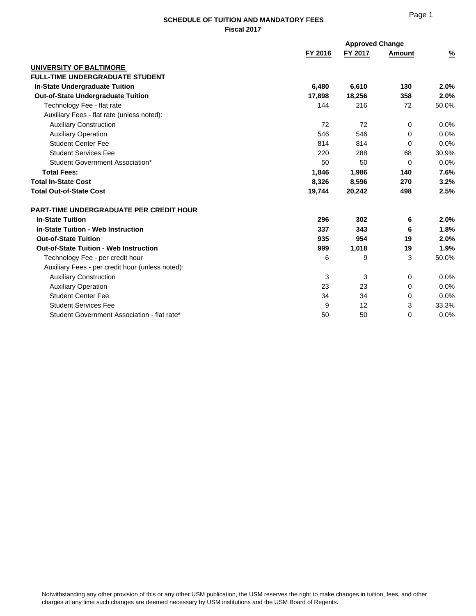|                                                  |         | <b>Approved Change</b> |               |               |
|--------------------------------------------------|---------|------------------------|---------------|---------------|
|                                                  | FY 2016 | FY 2017                | <b>Amount</b> | $\frac{9}{6}$ |
| UNIVERSITY OF BALTIMORE                          |         |                        |               |               |
| <b>FULL-TIME UNDERGRADUATE STUDENT</b>           |         |                        |               |               |
| <b>In-State Undergraduate Tuition</b>            | 6,480   | 6,610                  | 130           | 2.0%          |
| <b>Out-of-State Undergraduate Tuition</b>        | 17,898  | 18,256                 | 358           | 2.0%          |
| Technology Fee - flat rate                       | 144     | 216                    | 72            | 50.0%         |
| Auxiliary Fees - flat rate (unless noted):       |         |                        |               |               |
| <b>Auxiliary Construction</b>                    | 72      | 72                     | $\Omega$      | 0.0%          |
| <b>Auxiliary Operation</b>                       | 546     | 546                    | $\Omega$      | 0.0%          |
| <b>Student Center Fee</b>                        | 814     | 814                    | 0             | 0.0%          |
| <b>Student Services Fee</b>                      | 220     | 288                    | 68            | 30.9%         |
| Student Government Association*                  | 50      | 50                     | $\Omega$      | $0.0\%$       |
| <b>Total Fees:</b>                               | 1,846   | 1,986                  | 140           | 7.6%          |
| <b>Total In-State Cost</b>                       | 8,326   | 8,596                  | 270           | 3.2%          |
| <b>Total Out-of-State Cost</b>                   | 19,744  | 20,242                 | 498           | 2.5%          |
| <b>PART-TIME UNDERGRADUATE PER CREDIT HOUR</b>   |         |                        |               |               |
| <b>In-State Tuition</b>                          | 296     | 302                    | 6             | 2.0%          |
| In-State Tuition - Web Instruction               | 337     | 343                    | 6             | 1.8%          |
| <b>Out-of-State Tuition</b>                      | 935     | 954                    | 19            | 2.0%          |
| <b>Out-of-State Tuition - Web Instruction</b>    | 999     | 1,018                  | 19            | 1.9%          |
| Technology Fee - per credit hour                 | 6       | 9                      | 3             | 50.0%         |
| Auxiliary Fees - per credit hour (unless noted): |         |                        |               |               |
| <b>Auxiliary Construction</b>                    | 3       | 3                      | 0             | 0.0%          |
| <b>Auxiliary Operation</b>                       | 23      | 23                     | 0             | 0.0%          |
| <b>Student Center Fee</b>                        | 34      | 34                     | $\Omega$      | 0.0%          |
| <b>Student Services Fee</b>                      | 9       | 12                     | 3             | 33.3%         |
| Student Government Association - flat rate*      | 50      | 50                     | $\mathbf 0$   | 0.0%          |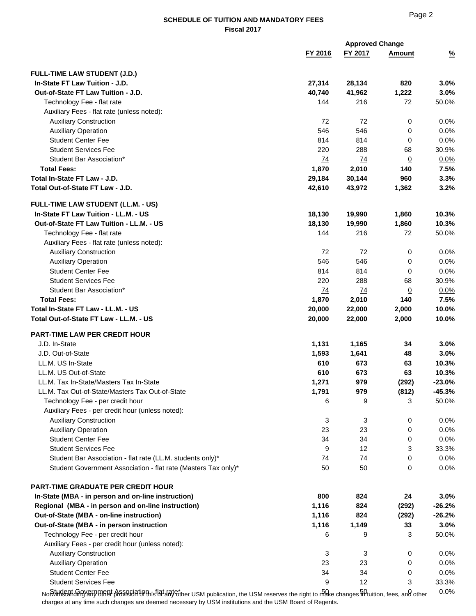|                                                                          |                 | <b>Approved Change</b> |                |               |
|--------------------------------------------------------------------------|-----------------|------------------------|----------------|---------------|
|                                                                          | FY 2016         | FY 2017                | <b>Amount</b>  | $\frac{9}{6}$ |
|                                                                          |                 |                        |                |               |
| <b>FULL-TIME LAW STUDENT (J.D.)</b><br>In-State FT Law Tuition - J.D.    | 27,314          | 28,134                 | 820            | 3.0%          |
| Out-of-State FT Law Tuition - J.D.                                       | 40,740          | 41,962                 | 1,222          | 3.0%          |
|                                                                          | 144             | 216                    | 72             | 50.0%         |
| Technology Fee - flat rate<br>Auxiliary Fees - flat rate (unless noted): |                 |                        |                |               |
|                                                                          | 72              | 72                     |                |               |
| <b>Auxiliary Construction</b>                                            |                 |                        | 0              | 0.0%          |
| <b>Auxiliary Operation</b><br><b>Student Center Fee</b>                  | 546<br>814      | 546<br>814             | 0<br>0         | 0.0%<br>0.0%  |
| <b>Student Services Fee</b>                                              |                 | 288                    |                |               |
|                                                                          | 220             |                        | 68             | 30.9%         |
| Student Bar Association*                                                 | 74              | 74                     | $\overline{0}$ | 0.0%          |
| <b>Total Fees:</b>                                                       | 1,870           | 2,010                  | 140            | 7.5%          |
| Total In-State FT Law - J.D.                                             | 29,184          | 30,144                 | 960            | 3.3%          |
| Total Out-of-State FT Law - J.D.                                         | 42,610          | 43,972                 | 1,362          | 3.2%          |
| FULL-TIME LAW STUDENT (LL.M. - US)                                       |                 |                        |                |               |
| In-State FT Law Tuition - LL.M. - US                                     | 18,130          | 19,990                 | 1,860          | 10.3%         |
| Out-of-State FT Law Tuition - LL.M. - US                                 | 18,130          | 19,990                 | 1,860          | 10.3%         |
| Technology Fee - flat rate                                               | 144             | 216                    | 72             | 50.0%         |
| Auxiliary Fees - flat rate (unless noted):                               |                 |                        |                |               |
| <b>Auxiliary Construction</b>                                            | 72              | 72                     | 0              | 0.0%          |
| <b>Auxiliary Operation</b>                                               | 546             | 546                    | 0              | 0.0%          |
| <b>Student Center Fee</b>                                                | 814             | 814                    | 0              | 0.0%          |
| <b>Student Services Fee</b>                                              | 220             | 288                    | 68             | 30.9%         |
| Student Bar Association*                                                 | $\overline{74}$ | 74                     | $\overline{0}$ | 0.0%          |
| <b>Total Fees:</b>                                                       | 1,870           | 2,010                  | 140            | 7.5%          |
| Total In-State FT Law - LL.M. - US                                       | 20,000          | 22,000                 | 2,000          | 10.0%         |
| Total Out-of-State FT Law - LL.M. - US                                   | 20,000          | 22,000                 | 2,000          | 10.0%         |
|                                                                          |                 |                        |                |               |
| PART-TIME LAW PER CREDIT HOUR                                            |                 |                        |                |               |
| J.D. In-State                                                            | 1,131           | 1,165                  | 34             | 3.0%          |
| J.D. Out-of-State                                                        | 1,593           | 1,641                  | 48             | 3.0%          |
| LL.M. US In-State                                                        | 610             | 673                    | 63             | 10.3%         |
| LL.M. US Out-of-State                                                    | 610             | 673                    | 63             | 10.3%         |
| LL.M. Tax In-State/Masters Tax In-State                                  | 1,271           | 979                    | (292)          | $-23.0%$      |
| LL.M. Tax Out-of-State/Masters Tax Out-of-State                          | 1,791           | 979                    | (812)          | $-45.3%$      |
| Technology Fee - per credit hour                                         | 6               | 9                      | 3              | 50.0%         |
| Auxiliary Fees - per credit hour (unless noted):                         |                 |                        |                |               |
| <b>Auxiliary Construction</b>                                            | 3               | 3                      | 0              | 0.0%          |
| <b>Auxiliary Operation</b>                                               | 23              | 23                     | 0              | 0.0%          |
| <b>Student Center Fee</b>                                                | 34              | 34                     | 0              | 0.0%          |
| <b>Student Services Fee</b>                                              | 9               | 12                     | 3              | 33.3%         |
| Student Bar Association - flat rate (LL.M. students only)*               | 74              | 74                     | 0              | 0.0%          |
| Student Government Association - flat rate (Masters Tax only)*           | 50              | 50                     | 0              | 0.0%          |
|                                                                          |                 |                        |                |               |
| <b>PART-TIME GRADUATE PER CREDIT HOUR</b>                                |                 |                        |                |               |
| In-State (MBA - in person and on-line instruction)                       | 800             | 824                    | 24             | 3.0%          |
| Regional (MBA - in person and on-line instruction)                       | 1,116           | 824                    | (292)          | $-26.2%$      |
| Out-of-State (MBA - on-line instruction)                                 | 1,116           | 824                    | (292)          | $-26.2%$      |
| Out-of-State (MBA - in person instruction                                | 1,116           | 1,149                  | 33             | 3.0%          |
| Technology Fee - per credit hour                                         | 6               | 9                      | 3              | 50.0%         |
| Auxiliary Fees - per credit hour (unless noted):                         |                 |                        |                |               |
| <b>Auxiliary Construction</b>                                            | 3               | 3                      | 0              | 0.0%          |
| <b>Auxiliary Operation</b>                                               | 23              | 23                     | 0              | 0.0%          |
| <b>Student Center Fee</b>                                                | 34              | 34                     | 0              | 0.0%          |
| <b>Student Services Fee</b>                                              | 9               | 12                     | 3              | 33.3%         |
| Student Government Association - flat rate $\sim$ $\sim$                 | 50              | 50.                    | U              | $0.0\%$       |

Notwith Gand Association Government Association - flat Fact rate of the USM reserves the right to make changes in tuition, fees, and other USM reserves the right to make changes in tuition, fees, and other charges at any time such changes are deemed necessary by USM institutions and the USM Board of Regents.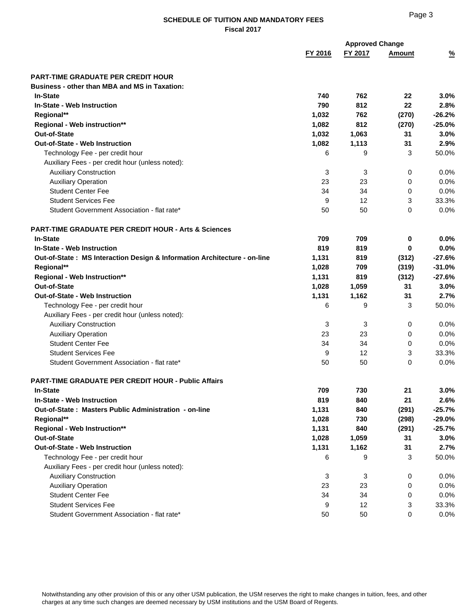|                                                                          |         | <b>Approved Change</b> |               |               |
|--------------------------------------------------------------------------|---------|------------------------|---------------|---------------|
|                                                                          | FY 2016 | FY 2017                | <b>Amount</b> | $\frac{9}{6}$ |
| <b>PART-TIME GRADUATE PER CREDIT HOUR</b>                                |         |                        |               |               |
| <b>Business - other than MBA and MS in Taxation:</b>                     |         |                        |               |               |
| <b>In-State</b>                                                          | 740     | 762                    | 22            | 3.0%          |
| In-State - Web Instruction                                               | 790     | 812                    | 22            | 2.8%          |
| Regional**                                                               | 1,032   | 762                    | (270)         | $-26.2%$      |
| Regional - Web instruction**                                             | 1,082   | 812                    | (270)         | $-25.0%$      |
| <b>Out-of-State</b>                                                      | 1,032   | 1,063                  | 31            | 3.0%          |
| <b>Out-of-State - Web Instruction</b>                                    | 1,082   | 1,113                  | 31            | 2.9%          |
| Technology Fee - per credit hour                                         | 6       | 9                      | 3             | 50.0%         |
| Auxiliary Fees - per credit hour (unless noted):                         |         |                        |               |               |
| <b>Auxiliary Construction</b>                                            | 3       | 3                      | 0             | 0.0%          |
| <b>Auxiliary Operation</b>                                               | 23      | 23                     | 0             | 0.0%          |
| <b>Student Center Fee</b>                                                | 34      | 34                     | 0             | 0.0%          |
| <b>Student Services Fee</b>                                              | 9       | 12                     | 3             | 33.3%         |
| Student Government Association - flat rate*                              | 50      | 50                     | $\Omega$      | $0.0\%$       |
| <b>PART-TIME GRADUATE PER CREDIT HOUR - Arts &amp; Sciences</b>          |         |                        |               |               |
| <b>In-State</b>                                                          | 709     | 709                    | 0             | 0.0%          |
| In-State - Web Instruction                                               | 819     | 819                    | 0             | 0.0%          |
| Out-of-State: MS Interaction Design & Information Architecture - on-line | 1,131   | 819                    | (312)         | $-27.6%$      |
| Regional**                                                               | 1,028   | 709                    | (319)         | $-31.0%$      |
| Regional - Web Instruction**                                             | 1,131   | 819                    | (312)         | $-27.6%$      |
| <b>Out-of-State</b>                                                      | 1,028   | 1,059                  | 31            | 3.0%          |
| <b>Out-of-State - Web Instruction</b>                                    | 1,131   | 1,162                  | 31            | 2.7%          |
| Technology Fee - per credit hour                                         | 6       | 9                      | 3             | 50.0%         |
| Auxiliary Fees - per credit hour (unless noted):                         |         |                        |               |               |
| <b>Auxiliary Construction</b>                                            | 3       | 3                      | 0             | 0.0%          |
| <b>Auxiliary Operation</b>                                               | 23      | 23                     | 0             | 0.0%          |
| <b>Student Center Fee</b>                                                | 34      | 34                     | 0             | 0.0%          |
| <b>Student Services Fee</b>                                              | 9       | 12                     | 3             | 33.3%         |
| Student Government Association - flat rate*                              | 50      | 50                     | $\Omega$      | 0.0%          |
| <b>PART-TIME GRADUATE PER CREDIT HOUR - Public Affairs</b>               |         |                        |               |               |
| <b>In-State</b>                                                          | 709     | 730                    | 21            | 3.0%          |
| In-State - Web Instruction                                               | 819     | 840                    | 21            | 2.6%          |
| Out-of-State: Masters Public Administration - on-line                    | 1,131   | 840                    | (291)         | $-25.7%$      |
| Regional**                                                               | 1,028   | 730                    | (298)         | $-29.0%$      |
| <b>Regional - Web Instruction**</b>                                      | 1,131   | 840                    | (291)         | $-25.7%$      |
| <b>Out-of-State</b>                                                      | 1,028   | 1,059                  | 31            | 3.0%          |
| Out-of-State - Web Instruction                                           | 1,131   | 1,162                  | 31            | 2.7%          |
| Technology Fee - per credit hour                                         | 6       | 9                      | 3             | 50.0%         |
| Auxiliary Fees - per credit hour (unless noted):                         |         |                        |               |               |
| <b>Auxiliary Construction</b>                                            | 3       | 3                      | 0             | 0.0%          |
| <b>Auxiliary Operation</b>                                               | 23      | 23                     | 0             | 0.0%          |
| <b>Student Center Fee</b>                                                | 34      | 34                     | 0             | 0.0%          |
| <b>Student Services Fee</b>                                              | 9       | 12                     | 3             | 33.3%         |
| Student Government Association - flat rate*                              | 50      | 50                     | 0             | 0.0%          |
|                                                                          |         |                        |               |               |